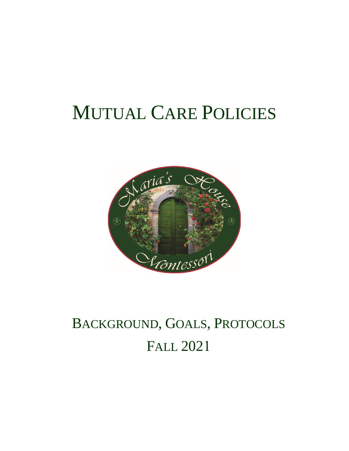# **MUTUAL CARE POLICIES**



# BACKGROUND, GOALS, PROTOCOLS **FALL 2021**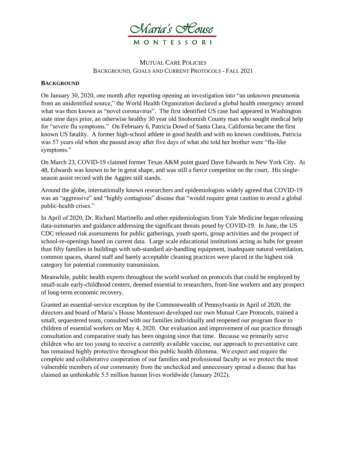

### MUTUAL CARE POLICIES BACKGROUND, GOALS AND CURRENT PROTOCOLS - FALL 2021

#### **BACKGROUND**

On January 30, 2020, one month after reporting opening an investigation into "an unknown pneumonia from an unidentified source," the World Health Organization declared a global health emergency around what was then known as "novel coronavirus". The first identified US case had appeared in Washington state nine days prior, an otherwise healthy 30 year old Snohomish County man who sought medical help for "severe flu symptoms." On February 6, Patricia Dowd of Santa Clara, California became the first known US fatality. A former high-school athlete in good health and with no known conditions, Patricia was 57 years old when she passed away after five days of what she told her brother were "flu-like symptoms."

On March 23, COVID-19 claimed former Texas A&M point guard Dave Edwards in New York City. At 48, Edwards was known to be in great shape, and was still a fierce competitor on the court. His singleseason assist record with the Aggies still stands.

Around the globe, internationally known researchers and epidemiologists widely agreed that COVID-19 was an "aggressive" and "highly contagious" disease that "would require great caution to avoid a global public-health crises."

In April of 2020, Dr. Richard Martinello and other epidemiologists from Yale Medicine began releasing data-summaries and guidance addressing the significant threats posed by COVID-19. In June, the US CDC released risk assessments for public gatherings, youth sports, group activities and the prospect of school-re-openings based on current data. Large scale educational institutions acting as hubs for greater than fifty families in buildings with sub-standard air-handling equipment, inadequate natural ventilation, common spaces, shared staff and barely acceptable cleaning practices were placed in the highest risk category for potential community transmission.

Meanwhile, public health experts throughout the world worked on protocols that could be employed by small-scale early-childhood centers, deemed essential to researchers, front-line workers and any prospect of long-term economic recovery.

Granted an essential-service exception by the Commonwealth of Pennsylvania in April of 2020, the directors and board of Maria's House Montessori developed our own Mutual Care Protocols, trained a small, sequestered team, consulted with our families individually and reopened our program floor to children of essential workers on May 4, 2020. Our evaluation and improvement of our practice through consultation and comparative study has been ongoing since that time. Because we primarily serve children who are too young to receive a currently available vaccine, our approach to preventative care has remained highly protective throughout this public health dilemma. We expect and require the complete and collaborative cooperation of our families and professional faculty as we protect the most vulnerable members of our community from the unchecked and unnecessary spread a disease that has claimed an unthinkable 5.5 million human lives worldwide (January 2022).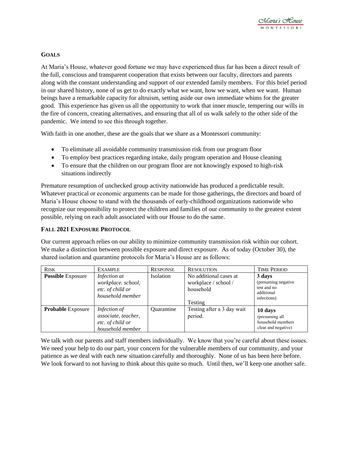### **GOALS**

At Maria's House, whatever good fortune we may have experienced thus far has been a direct result of the full, conscious and transparent cooperation that exists between our faculty, directors and parents along with the constant understanding and support of our extended family members. For this brief period in our shared history, none of us get to do exactly what we want, how we want, when we want. Human beings have a remarkable capacity for altruism, setting aside our own immediate whims for the greater good. This experience has given us all the opportunity to work that inner muscle, tempering our wills in the fire of concern, creating alternatives, and ensuring that all of us walk safely to the other side of the pandemic. We intend to see this through together.

With faith in one another, these are the goals that we share as a Montessori community:

- To eliminate all avoidable community transmission risk from our program floor
- To employ best practices regarding intake, daily program operation and House cleaning
- To ensure that the children on our program floor are not knowingly exposed to high-risk situations indirectly

Premature resumption of unchecked group activity nationwide has produced a predictable result. Whatever practical or economic arguments can be made for those gatherings, the directors and board of Maria's House choose to stand with the thousands of early-childhood organizations nationwide who recognize our responsibility to protect the children and families of our community to the greatest extent possible, relying on each adult associated with our House to do the same.

### **FALL 2021 EXPOSURE PROTOCOL**

Our current approach relies on our ability to minimize community transmission risk within our cohort. We make a distinction between possible exposure and direct exposure. As of today (October 30), the shared isolation and quarantine protocols for Maria's House are as follows:

| <b>RISK</b>              | <b>EXAMPLE</b>                                                              | <b>RESPONSE</b>   | <b>RESOLUTION</b>                                                      | <b>TIME PERIOD</b>                                                         |
|--------------------------|-----------------------------------------------------------------------------|-------------------|------------------------------------------------------------------------|----------------------------------------------------------------------------|
| <b>Possible Exposure</b> | Infection at<br>workplace. school,<br>etc. of child or<br>household member  | Isolation         | No additional cases at<br>workplace / school /<br>household<br>Testing | 3 days<br>(presuming negative)<br>test and no<br>additional<br>infections) |
| <b>Probable Exposure</b> | Infection of<br>associate, teacher,<br>etc. of child or<br>household member | <b>Ouarantine</b> | Testing after a 3 day wait<br>period.                                  | 10 days<br>(presuming all<br>household members<br>clear and negative)      |

We talk with our parents and staff members individually. We know that you're careful about these issues. We need your help to do our part, your concern for the vulnerable members of our community, and your patience as we deal with each new situation carefully and thoroughly. None of us has been here before. We look forward to not having to think about this quite so much. Until then, we'll keep one another safe.